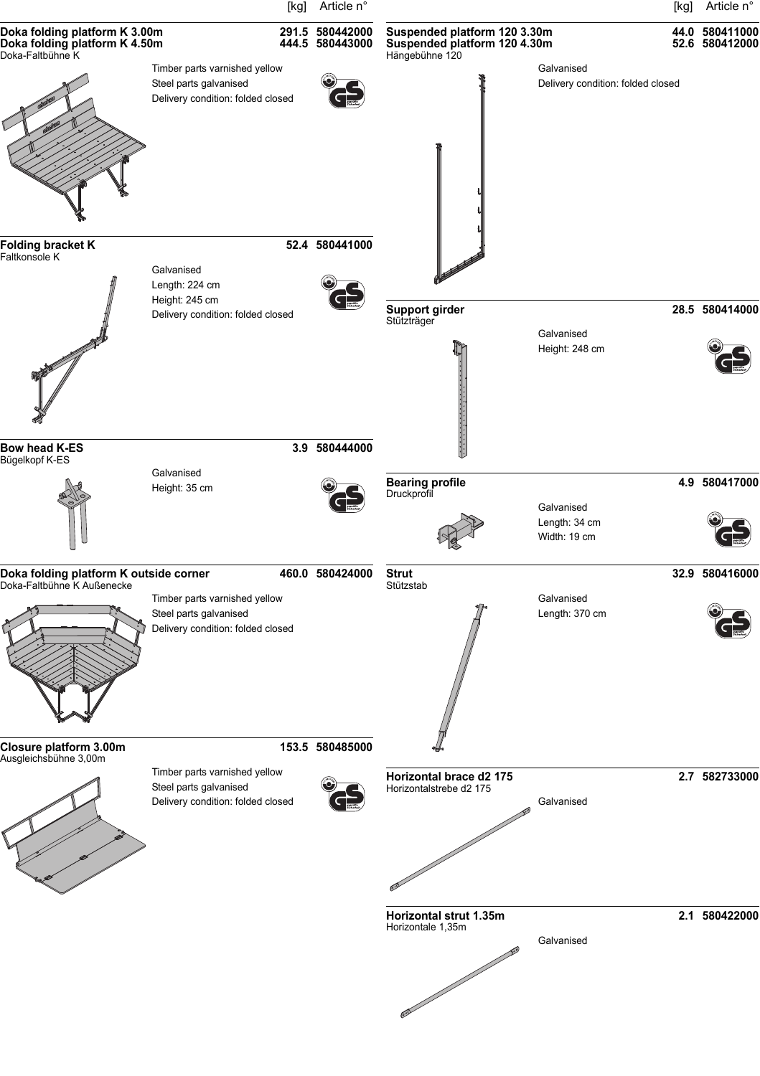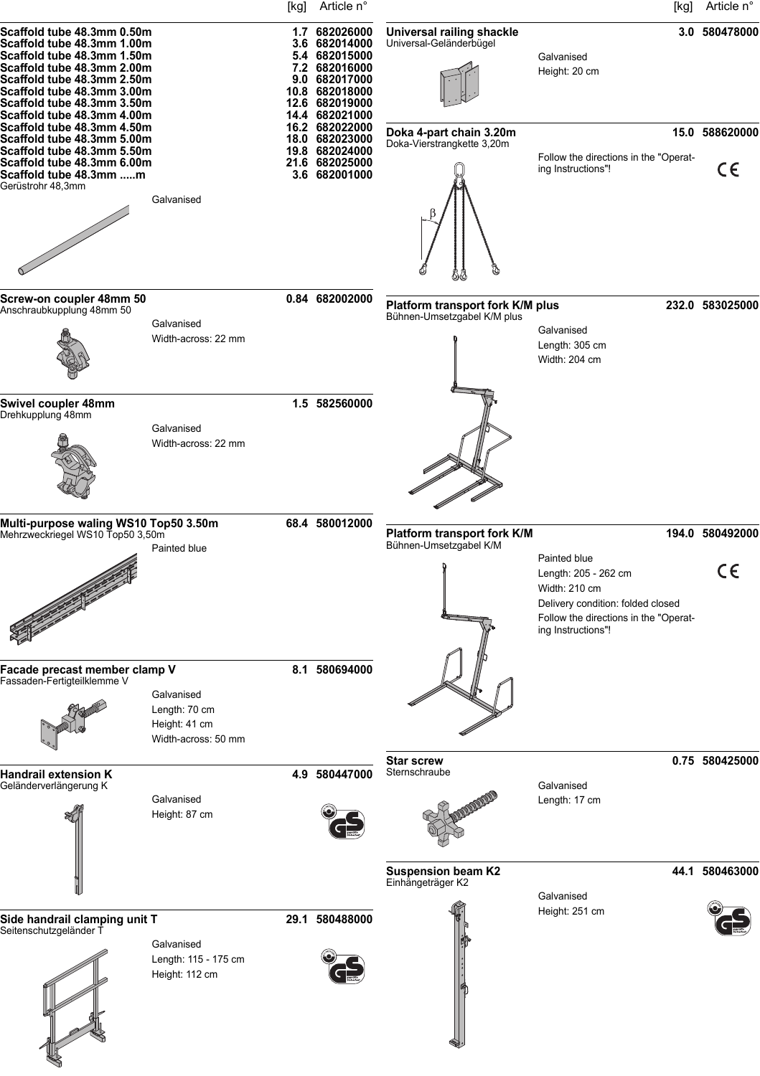